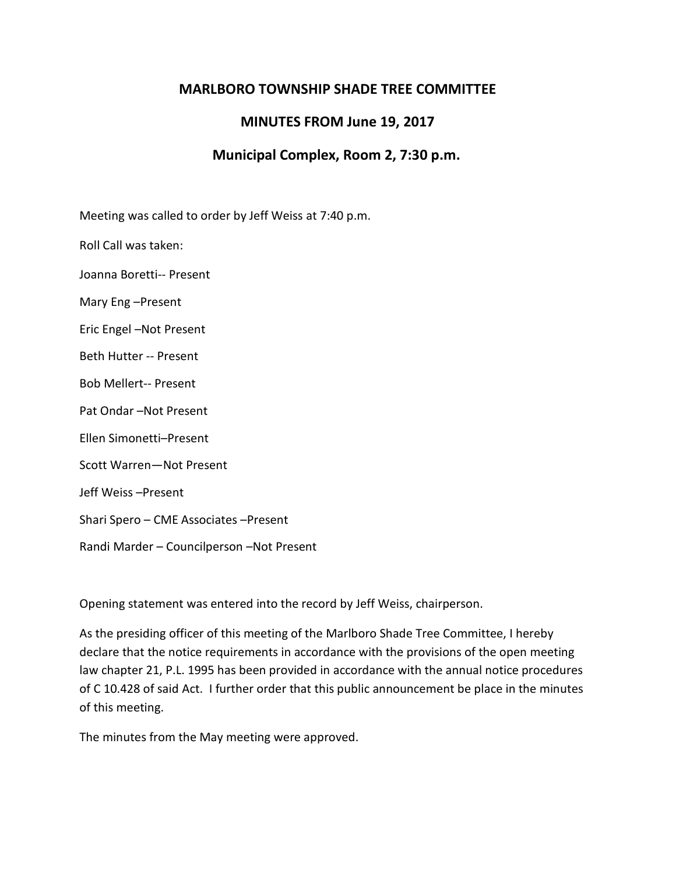## **MARLBORO TOWNSHIP SHADE TREE COMMITTEE**

## **MINUTES FROM June 19, 2017**

## **Municipal Complex, Room 2, 7:30 p.m.**

Meeting was called to order by Jeff Weiss at 7:40 p.m.

Roll Call was taken:

Joanna Boretti-- Present

Mary Eng –Present

Eric Engel –Not Present

Beth Hutter -- Present

Bob Mellert-- Present

Pat Ondar –Not Present

Ellen Simonetti–Present

Scott Warren—Not Present

Jeff Weiss –Present

Shari Spero – CME Associates –Present

Randi Marder – Councilperson –Not Present

Opening statement was entered into the record by Jeff Weiss, chairperson.

As the presiding officer of this meeting of the Marlboro Shade Tree Committee, I hereby declare that the notice requirements in accordance with the provisions of the open meeting law chapter 21, P.L. 1995 has been provided in accordance with the annual notice procedures of C 10.428 of said Act. I further order that this public announcement be place in the minutes of this meeting.

The minutes from the May meeting were approved.